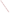